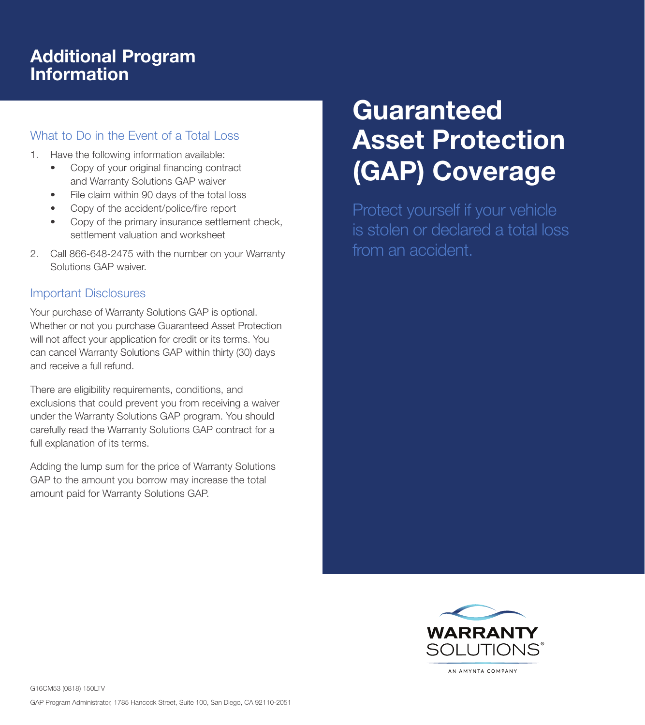## Additional Program Information

## What to Do in the Event of a Total Loss

- 1. Have the following information available:
	- Copy of your original financing contract and Warranty Solutions GAP waiver
	- File claim within 90 days of the total loss
	- Copy of the accident/police/fire report
	- Copy of the primary insurance settlement check, settlement valuation and worksheet
- 2. Call 866-648-2475 with the number on your Warranty Solutions GAP waiver.

## Important Disclosures

Your purchase of Warranty Solutions GAP is optional. Whether or not you purchase Guaranteed Asset Protection will not affect your application for credit or its terms. You can cancel Warranty Solutions GAP within thirty (30) days and receive a full refund.

There are eligibility requirements, conditions, and exclusions that could prevent you from receiving a waiver under the Warranty Solutions GAP program. You should carefully read the Warranty Solutions GAP contract for a full explanation of its terms.

Adding the lump sum for the price of Warranty Solutions GAP to the amount you borrow may increase the total amount paid for Warranty Solutions GAP.

# **Guaranteed** Asset Protection (GAP) Coverage

Protect yourself if your vehicle is stolen or declared a total loss from an accident.



G16CM53 (0818) 150LTV GAP Program Administrator, 1785 Hancock Street, Suite 100, San Diego, CA 92110-2051